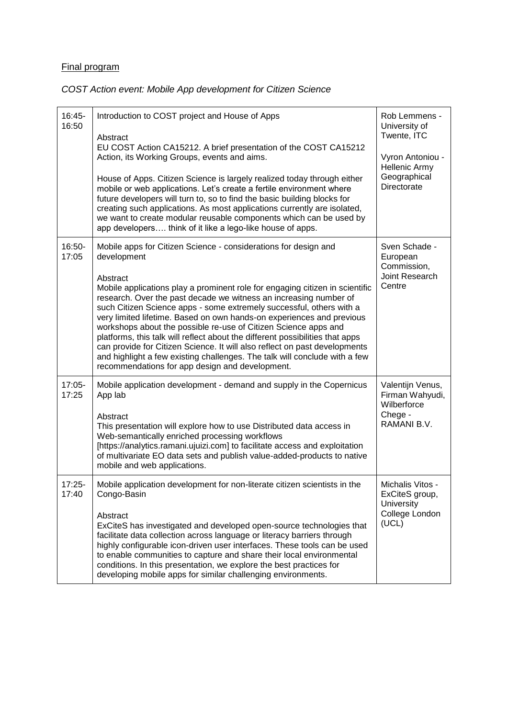## Final program

## *COST Action event: Mobile App development for Citizen Science*

| 16:45-<br>16:50 | Introduction to COST project and House of Apps<br>Abstract                                                                                                                                                                                                                                                                                                                                                                                                                                                                                                                                                                                                                        | Rob Lemmens -<br>University of<br>Twente, ITC                                |
|-----------------|-----------------------------------------------------------------------------------------------------------------------------------------------------------------------------------------------------------------------------------------------------------------------------------------------------------------------------------------------------------------------------------------------------------------------------------------------------------------------------------------------------------------------------------------------------------------------------------------------------------------------------------------------------------------------------------|------------------------------------------------------------------------------|
|                 | EU COST Action CA15212. A brief presentation of the COST CA15212<br>Action, its Working Groups, events and aims.                                                                                                                                                                                                                                                                                                                                                                                                                                                                                                                                                                  | Vyron Antoniou -<br>Hellenic Army<br>Geographical<br>Directorate             |
|                 | House of Apps. Citizen Science is largely realized today through either<br>mobile or web applications. Let's create a fertile environment where<br>future developers will turn to, so to find the basic building blocks for<br>creating such applications. As most applications currently are isolated,<br>we want to create modular reusable components which can be used by<br>app developers think of it like a lego-like house of apps.                                                                                                                                                                                                                                       |                                                                              |
| 16:50-<br>17:05 | Mobile apps for Citizen Science - considerations for design and<br>development                                                                                                                                                                                                                                                                                                                                                                                                                                                                                                                                                                                                    | Sven Schade -<br>European<br>Commission,<br>Joint Research<br>Centre         |
|                 | Abstract<br>Mobile applications play a prominent role for engaging citizen in scientific<br>research. Over the past decade we witness an increasing number of<br>such Citizen Science apps - some extremely successful, others with a<br>very limited lifetime. Based on own hands-on experiences and previous<br>workshops about the possible re-use of Citizen Science apps and<br>platforms, this talk will reflect about the different possibilities that apps<br>can provide for Citizen Science. It will also reflect on past developments<br>and highlight a few existing challenges. The talk will conclude with a few<br>recommendations for app design and development. |                                                                              |
| 17:05-<br>17:25 | Mobile application development - demand and supply in the Copernicus<br>App lab                                                                                                                                                                                                                                                                                                                                                                                                                                                                                                                                                                                                   | Valentijn Venus,<br>Firman Wahyudi,<br>Wilberforce<br>Chege -<br>RAMANI B.V. |
|                 | Abstract<br>This presentation will explore how to use Distributed data access in<br>Web-semantically enriched processing workflows<br>[https://analytics.ramani.ujuizi.com] to facilitate access and exploitation<br>of multivariate EO data sets and publish value-added-products to native<br>mobile and web applications.                                                                                                                                                                                                                                                                                                                                                      |                                                                              |
| 17:25-<br>17:40 | Mobile application development for non-literate citizen scientists in the<br>Congo-Basin                                                                                                                                                                                                                                                                                                                                                                                                                                                                                                                                                                                          | Michalis Vitos -<br>ExCiteS group,<br>University<br>College London<br>(UCL)  |
|                 | Abstract<br>ExCiteS has investigated and developed open-source technologies that<br>facilitate data collection across language or literacy barriers through<br>highly configurable icon-driven user interfaces. These tools can be used<br>to enable communities to capture and share their local environmental<br>conditions. In this presentation, we explore the best practices for<br>developing mobile apps for similar challenging environments.                                                                                                                                                                                                                            |                                                                              |